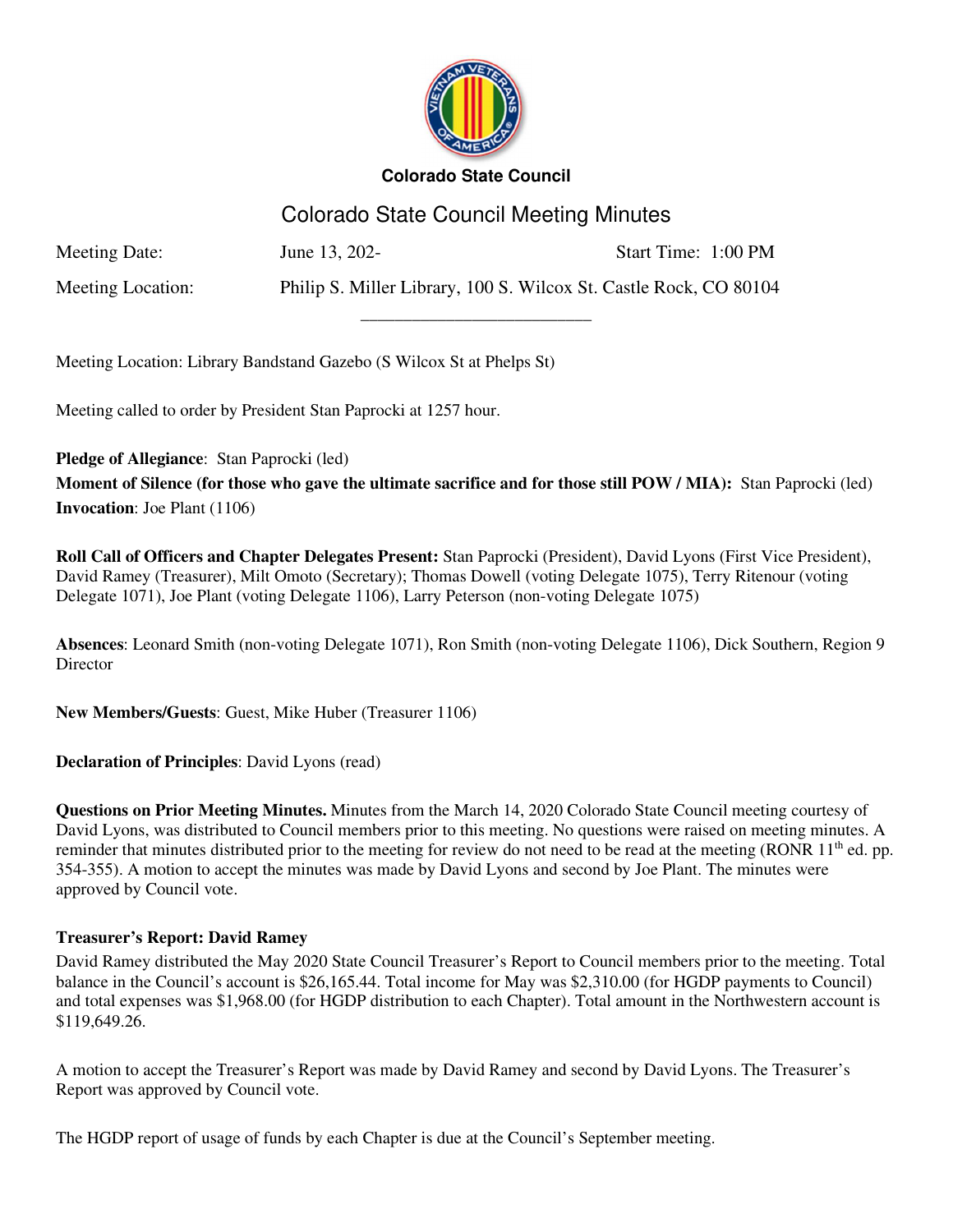

# Colorado State Council Meeting Minutes

\_\_\_\_\_\_\_\_\_\_\_\_\_\_\_\_\_\_\_\_\_\_\_\_\_\_\_

Meeting Date: June 13, 202-<br>Start Time: 1:00 PM

Meeting Location: Philip S. Miller Library, 100 S. Wilcox St. Castle Rock, CO 80104

Meeting Location: Library Bandstand Gazebo (S Wilcox St at Phelps St)

Meeting called to order by President Stan Paprocki at 1257 hour.

**Pledge of Allegiance**: Stan Paprocki (led)

**Moment of Silence (for those who gave the ultimate sacrifice and for those still POW / MIA):** Stan Paprocki (led) **Invocation**: Joe Plant (1106)

**Roll Call of Officers and Chapter Delegates Present:** Stan Paprocki (President), David Lyons (First Vice President), David Ramey (Treasurer), Milt Omoto (Secretary); Thomas Dowell (voting Delegate 1075), Terry Ritenour (voting Delegate 1071), Joe Plant (voting Delegate 1106), Larry Peterson (non-voting Delegate 1075)

**Absences**: Leonard Smith (non-voting Delegate 1071), Ron Smith (non-voting Delegate 1106), Dick Southern, Region 9 **Director** 

**New Members/Guests**: Guest, Mike Huber (Treasurer 1106)

**Declaration of Principles**: David Lyons (read)

**Questions on Prior Meeting Minutes.** Minutes from the March 14, 2020 Colorado State Council meeting courtesy of David Lyons, was distributed to Council members prior to this meeting. No questions were raised on meeting minutes. A reminder that minutes distributed prior to the meeting for review do not need to be read at the meeting (RONR 11<sup>th</sup> ed. pp. 354-355). A motion to accept the minutes was made by David Lyons and second by Joe Plant. The minutes were approved by Council vote.

# **Treasurer's Report: David Ramey**

David Ramey distributed the May 2020 State Council Treasurer's Report to Council members prior to the meeting. Total balance in the Council's account is \$26,165.44. Total income for May was \$2,310.00 (for HGDP payments to Council) and total expenses was \$1,968.00 (for HGDP distribution to each Chapter). Total amount in the Northwestern account is \$119,649.26.

A motion to accept the Treasurer's Report was made by David Ramey and second by David Lyons. The Treasurer's Report was approved by Council vote.

The HGDP report of usage of funds by each Chapter is due at the Council's September meeting.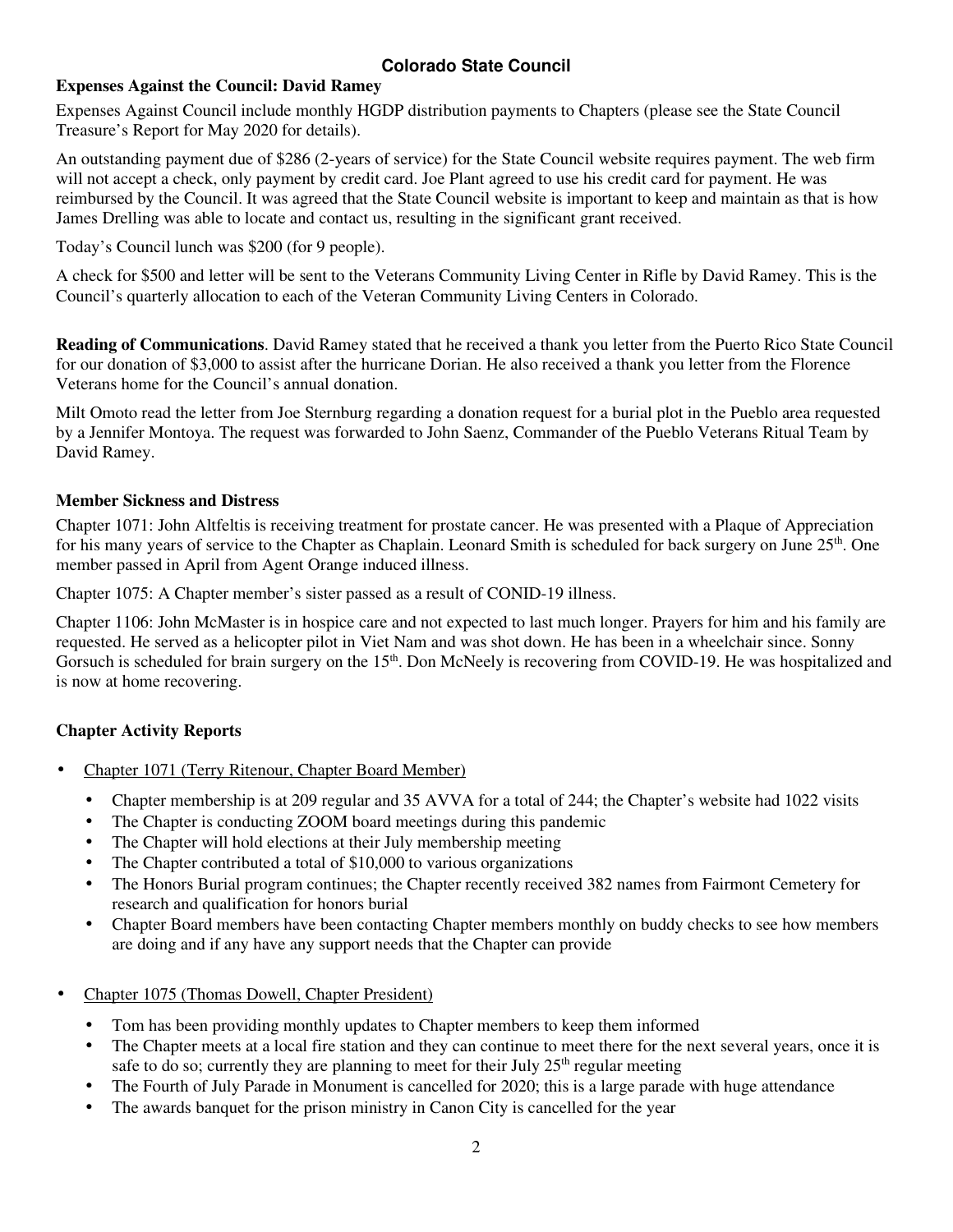### **Expenses Against the Council: David Ramey**

Expenses Against Council include monthly HGDP distribution payments to Chapters (please see the State Council Treasure's Report for May 2020 for details).

An outstanding payment due of \$286 (2-years of service) for the State Council website requires payment. The web firm will not accept a check, only payment by credit card. Joe Plant agreed to use his credit card for payment. He was reimbursed by the Council. It was agreed that the State Council website is important to keep and maintain as that is how James Drelling was able to locate and contact us, resulting in the significant grant received.

Today's Council lunch was \$200 (for 9 people).

A check for \$500 and letter will be sent to the Veterans Community Living Center in Rifle by David Ramey. This is the Council's quarterly allocation to each of the Veteran Community Living Centers in Colorado.

**Reading of Communications**. David Ramey stated that he received a thank you letter from the Puerto Rico State Council for our donation of \$3,000 to assist after the hurricane Dorian. He also received a thank you letter from the Florence Veterans home for the Council's annual donation.

Milt Omoto read the letter from Joe Sternburg regarding a donation request for a burial plot in the Pueblo area requested by a Jennifer Montoya. The request was forwarded to John Saenz, Commander of the Pueblo Veterans Ritual Team by David Ramey.

### **Member Sickness and Distress**

Chapter 1071: John Altfeltis is receiving treatment for prostate cancer. He was presented with a Plaque of Appreciation for his many years of service to the Chapter as Chaplain. Leonard Smith is scheduled for back surgery on June 25th. One member passed in April from Agent Orange induced illness.

Chapter 1075: A Chapter member's sister passed as a result of CONID-19 illness.

Chapter 1106: John McMaster is in hospice care and not expected to last much longer. Prayers for him and his family are requested. He served as a helicopter pilot in Viet Nam and was shot down. He has been in a wheelchair since. Sonny Gorsuch is scheduled for brain surgery on the 15<sup>th</sup>. Don McNeely is recovering from COVID-19. He was hospitalized and is now at home recovering.

# **Chapter Activity Reports**

- Chapter 1071 (Terry Ritenour, Chapter Board Member)
	- Chapter membership is at 209 regular and 35 AVVA for a total of 244; the Chapter's website had 1022 visits
	- The Chapter is conducting ZOOM board meetings during this pandemic
	- The Chapter will hold elections at their July membership meeting
	- The Chapter contributed a total of \$10,000 to various organizations
	- The Honors Burial program continues; the Chapter recently received 382 names from Fairmont Cemetery for research and qualification for honors burial
	- Chapter Board members have been contacting Chapter members monthly on buddy checks to see how members are doing and if any have any support needs that the Chapter can provide
- Chapter 1075 (Thomas Dowell, Chapter President)
	- Tom has been providing monthly updates to Chapter members to keep them informed
	- The Chapter meets at a local fire station and they can continue to meet there for the next several years, once it is safe to do so; currently they are planning to meet for their July  $25<sup>th</sup>$  regular meeting
	- The Fourth of July Parade in Monument is cancelled for 2020; this is a large parade with huge attendance
	- The awards banquet for the prison ministry in Canon City is cancelled for the year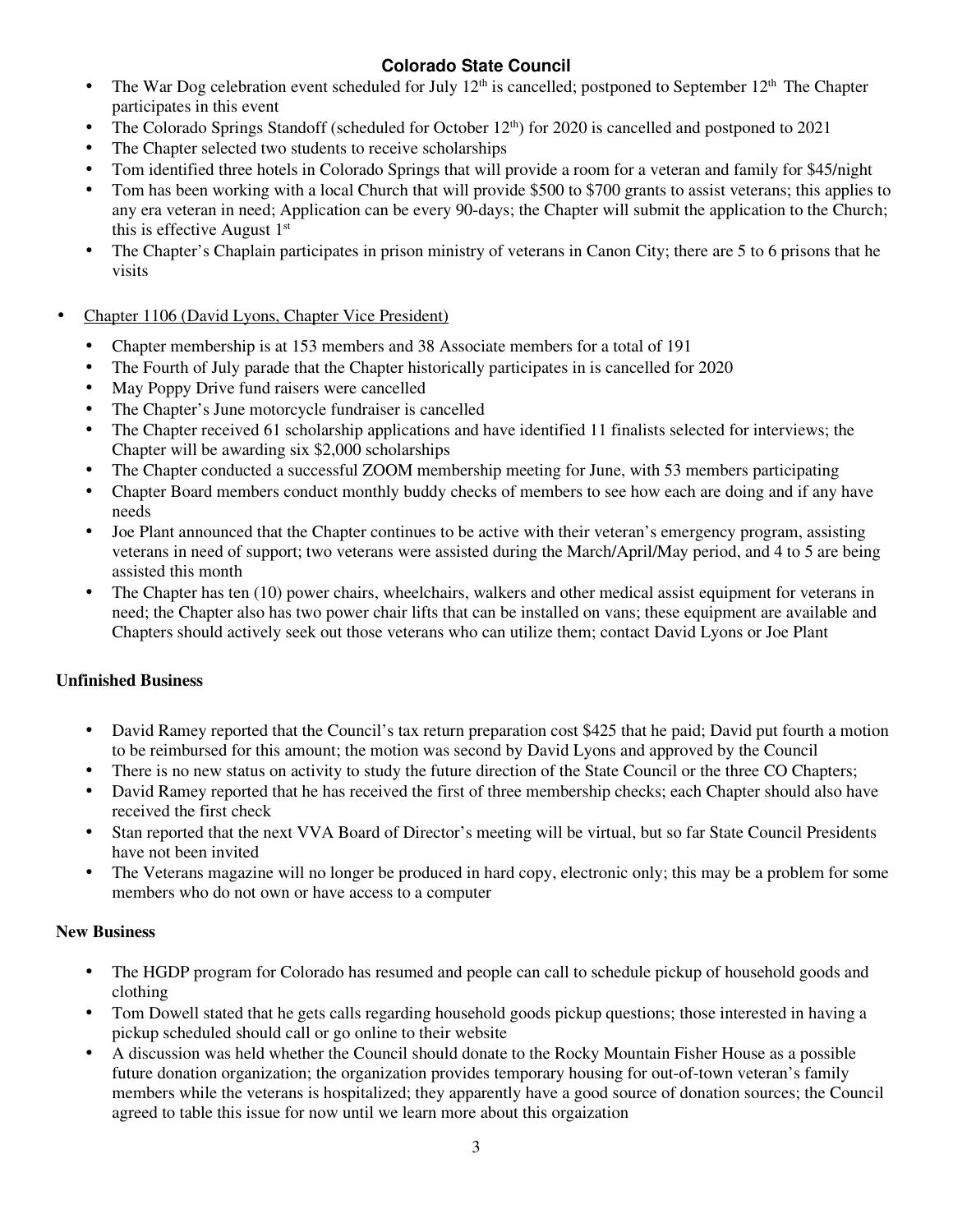- The War Dog celebration event scheduled for July  $12<sup>th</sup>$  is cancelled; postponed to September  $12<sup>th</sup>$  The Chapter participates in this event
- The Colorado Springs Standoff (scheduled for October 12<sup>th</sup>) for 2020 is cancelled and postponed to 2021
- The Chapter selected two students to receive scholarships
- Tom identified three hotels in Colorado Springs that will provide a room for a veteran and family for \$45/night
- Tom has been working with a local Church that will provide \$500 to \$700 grants to assist veterans; this applies to any era veteran in need; Application can be every 90-days; the Chapter will submit the application to the Church; this is effective August  $1<sup>st</sup>$
- The Chapter's Chaplain participates in prison ministry of veterans in Canon City; there are 5 to 6 prisons that he visits
- Chapter 1106 (David Lyons, Chapter Vice President)
	- Chapter membership is at 153 members and 38 Associate members for a total of 191
	- The Fourth of July parade that the Chapter historically participates in is cancelled for 2020
	- May Poppy Drive fund raisers were cancelled
	- The Chapter's June motorcycle fundraiser is cancelled
	- The Chapter received 61 scholarship applications and have identified 11 finalists selected for interviews; the Chapter will be awarding six \$2,000 scholarships
	- The Chapter conducted a successful ZOOM membership meeting for June, with 53 members participating
	- Chapter Board members conduct monthly buddy checks of members to see how each are doing and if any have needs
	- Joe Plant announced that the Chapter continues to be active with their veteran's emergency program, assisting veterans in need of support; two veterans were assisted during the March/April/May period, and 4 to 5 are being assisted this month
	- The Chapter has ten (10) power chairs, wheelchairs, walkers and other medical assist equipment for veterans in need; the Chapter also has two power chair lifts that can be installed on vans; these equipment are available and Chapters should actively seek out those veterans who can utilize them; contact David Lyons or Joe Plant

# **Unfinished Business**

- David Ramey reported that the Council's tax return preparation cost \$425 that he paid; David put fourth a motion to be reimbursed for this amount; the motion was second by David Lyons and approved by the Council
- There is no new status on activity to study the future direction of the State Council or the three CO Chapters;
- David Ramey reported that he has received the first of three membership checks; each Chapter should also have received the first check
- Stan reported that the next VVA Board of Director's meeting will be virtual, but so far State Council Presidents have not been invited
- The Veterans magazine will no longer be produced in hard copy, electronic only; this may be a problem for some members who do not own or have access to a computer

### **New Business**

- The HGDP program for Colorado has resumed and people can call to schedule pickup of household goods and clothing
- Tom Dowell stated that he gets calls regarding household goods pickup questions; those interested in having a pickup scheduled should call or go online to their website
- A discussion was held whether the Council should donate to the Rocky Mountain Fisher House as a possible future donation organization; the organization provides temporary housing for out-of-town veteran's family members while the veterans is hospitalized; they apparently have a good source of donation sources; the Council agreed to table this issue for now until we learn more about this orgaization